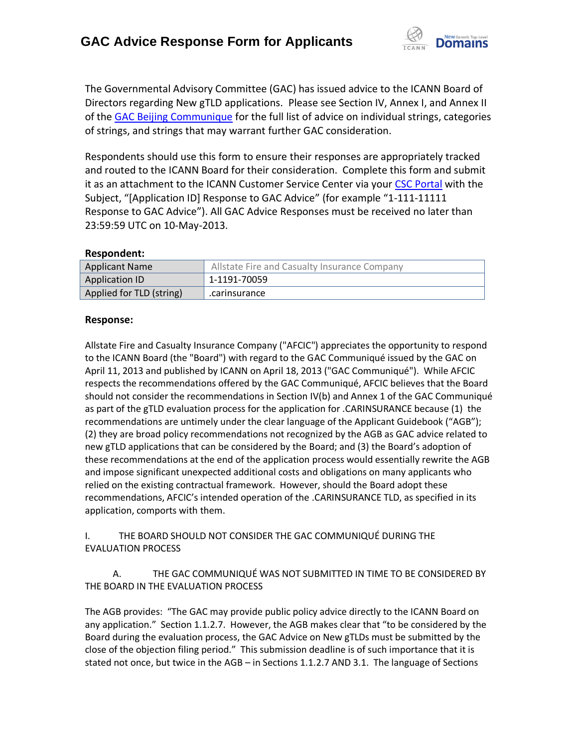

The Governmental Advisory Committee (GAC) has issued advice to the ICANN Board of Directors regarding New gTLD applications. Please see Section IV, Annex I, and Annex II of the [GAC Beijing Communique](http://www.icann.org/en/news/correspondence/gac-to-board-18apr13-en.pdf) for the full list of advice on individual strings, categories of strings, and strings that may warrant further GAC consideration.

Respondents should use this form to ensure their responses are appropriately tracked and routed to the ICANN Board for their consideration. Complete this form and submit it as an attachment to the ICANN Customer Service Center via your CSC [Portal](https://myicann.secure.force.com/) with the Subject, "[Application ID] Response to GAC Advice" (for example "1-111-11111 Response to GAC Advice"). All GAC Advice Responses must be received no later than 23:59:59 UTC on 10-May-2013.

#### **Respondent:**

| <b>Applicant Name</b>    | Allstate Fire and Casualty Insurance Company |
|--------------------------|----------------------------------------------|
| Application ID           | 1-1191-70059                                 |
| Applied for TLD (string) | .carinsurance                                |

#### **Response:**

Allstate Fire and Casualty Insurance Company ("AFCIC") appreciates the opportunity to respond to the ICANN Board (the "Board") with regard to the GAC Communiqué issued by the GAC on April 11, 2013 and published by ICANN on April 18, 2013 ("GAC Communiqué"). While AFCIC respects the recommendations offered by the GAC Communiqué, AFCIC believes that the Board should not consider the recommendations in Section IV(b) and Annex 1 of the GAC Communiqué as part of the gTLD evaluation process for the application for .CARINSURANCE because (1) the recommendations are untimely under the clear language of the Applicant Guidebook ("AGB"); (2) they are broad policy recommendations not recognized by the AGB as GAC advice related to new gTLD applications that can be considered by the Board; and (3) the Board's adoption of these recommendations at the end of the application process would essentially rewrite the AGB and impose significant unexpected additional costs and obligations on many applicants who relied on the existing contractual framework. However, should the Board adopt these recommendations, AFCIC's intended operation of the .CARINSURANCE TLD, as specified in its application, comports with them.

I. THE BOARD SHOULD NOT CONSIDER THE GAC COMMUNIQUÉ DURING THE EVALUATION PROCESS

 A. THE GAC COMMUNIQUÉ WAS NOT SUBMITTED IN TIME TO BE CONSIDERED BY THE BOARD IN THE EVALUATION PROCESS

The AGB provides: "The GAC may provide public policy advice directly to the ICANN Board on any application." Section 1.1.2.7. However, the AGB makes clear that "to be considered by the Board during the evaluation process, the GAC Advice on New gTLDs must be submitted by the close of the objection filing period." This submission deadline is of such importance that it is stated not once, but twice in the AGB – in Sections 1.1.2.7 AND 3.1. The language of Sections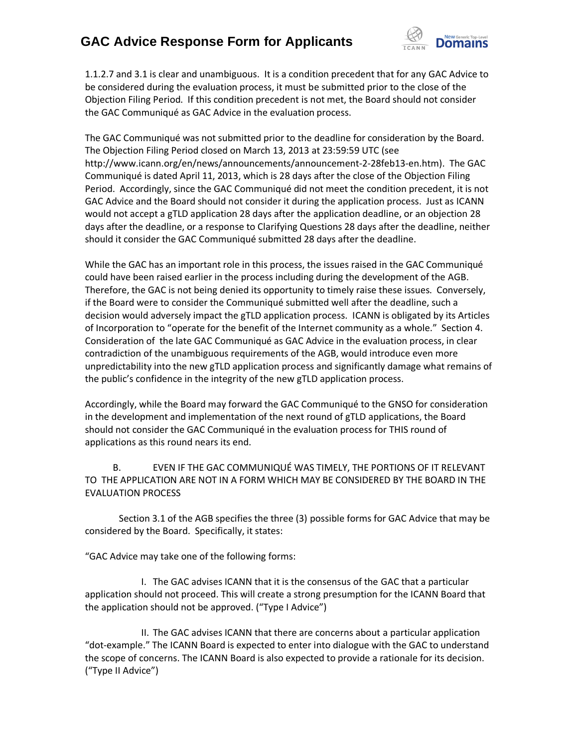

1.1.2.7 and 3.1 is clear and unambiguous. It is a condition precedent that for any GAC Advice to be considered during the evaluation process, it must be submitted prior to the close of the Objection Filing Period. If this condition precedent is not met, the Board should not consider the GAC Communiqué as GAC Advice in the evaluation process.

The GAC Communiqué was not submitted prior to the deadline for consideration by the Board. The Objection Filing Period closed on March 13, 2013 at 23:59:59 UTC (see http://www.icann.org/en/news/announcements/announcement-2-28feb13-en.htm). The GAC Communiqué is dated April 11, 2013, which is 28 days after the close of the Objection Filing Period. Accordingly, since the GAC Communiqué did not meet the condition precedent, it is not GAC Advice and the Board should not consider it during the application process. Just as ICANN would not accept a gTLD application 28 days after the application deadline, or an objection 28 days after the deadline, or a response to Clarifying Questions 28 days after the deadline, neither should it consider the GAC Communiqué submitted 28 days after the deadline.

While the GAC has an important role in this process, the issues raised in the GAC Communiqué could have been raised earlier in the process including during the development of the AGB. Therefore, the GAC is not being denied its opportunity to timely raise these issues. Conversely, if the Board were to consider the Communiqué submitted well after the deadline, such a decision would adversely impact the gTLD application process. ICANN is obligated by its Articles of Incorporation to "operate for the benefit of the Internet community as a whole." Section 4. Consideration of the late GAC Communiqué as GAC Advice in the evaluation process, in clear contradiction of the unambiguous requirements of the AGB, would introduce even more unpredictability into the new gTLD application process and significantly damage what remains of the public's confidence in the integrity of the new gTLD application process.

Accordingly, while the Board may forward the GAC Communiqué to the GNSO for consideration in the development and implementation of the next round of gTLD applications, the Board should not consider the GAC Communiqué in the evaluation process for THIS round of applications as this round nears its end.

 B. EVEN IF THE GAC COMMUNIQUÉ WAS TIMELY, THE PORTIONS OF IT RELEVANT TO THE APPLICATION ARE NOT IN A FORM WHICH MAY BE CONSIDERED BY THE BOARD IN THE EVALUATION PROCESS

Section 3.1 of the AGB specifies the three (3) possible forms for GAC Advice that may be considered by the Board. Specifically, it states:

"GAC Advice may take one of the following forms:

 I. The GAC advises ICANN that it is the consensus of the GAC that a particular application should not proceed. This will create a strong presumption for the ICANN Board that the application should not be approved. ("Type I Advice")

 II. The GAC advises ICANN that there are concerns about a particular application "dot-example." The ICANN Board is expected to enter into dialogue with the GAC to understand the scope of concerns. The ICANN Board is also expected to provide a rationale for its decision. ("Type II Advice")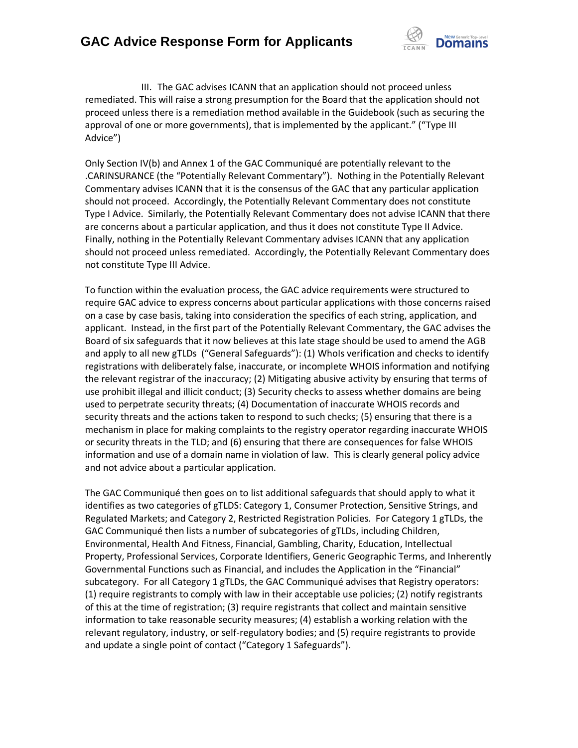

 III. The GAC advises ICANN that an application should not proceed unless remediated. This will raise a strong presumption for the Board that the application should not proceed unless there is a remediation method available in the Guidebook (such as securing the approval of one or more governments), that is implemented by the applicant." ("Type III Advice")

Only Section IV(b) and Annex 1 of the GAC Communiqué are potentially relevant to the .CARINSURANCE (the "Potentially Relevant Commentary"). Nothing in the Potentially Relevant Commentary advises ICANN that it is the consensus of the GAC that any particular application should not proceed. Accordingly, the Potentially Relevant Commentary does not constitute Type I Advice. Similarly, the Potentially Relevant Commentary does not advise ICANN that there are concerns about a particular application, and thus it does not constitute Type II Advice. Finally, nothing in the Potentially Relevant Commentary advises ICANN that any application should not proceed unless remediated. Accordingly, the Potentially Relevant Commentary does not constitute Type III Advice.

To function within the evaluation process, the GAC advice requirements were structured to require GAC advice to express concerns about particular applications with those concerns raised on a case by case basis, taking into consideration the specifics of each string, application, and applicant. Instead, in the first part of the Potentially Relevant Commentary, the GAC advises the Board of six safeguards that it now believes at this late stage should be used to amend the AGB and apply to all new gTLDs ("General Safeguards"): (1) WhoIs verification and checks to identify registrations with deliberately false, inaccurate, or incomplete WHOIS information and notifying the relevant registrar of the inaccuracy; (2) Mitigating abusive activity by ensuring that terms of use prohibit illegal and illicit conduct; (3) Security checks to assess whether domains are being used to perpetrate security threats; (4) Documentation of inaccurate WHOIS records and security threats and the actions taken to respond to such checks; (5) ensuring that there is a mechanism in place for making complaints to the registry operator regarding inaccurate WHOIS or security threats in the TLD; and (6) ensuring that there are consequences for false WHOIS information and use of a domain name in violation of law. This is clearly general policy advice and not advice about a particular application.

The GAC Communiqué then goes on to list additional safeguards that should apply to what it identifies as two categories of gTLDS: Category 1, Consumer Protection, Sensitive Strings, and Regulated Markets; and Category 2, Restricted Registration Policies. For Category 1 gTLDs, the GAC Communiqué then lists a number of subcategories of gTLDs, including Children, Environmental, Health And Fitness, Financial, Gambling, Charity, Education, Intellectual Property, Professional Services, Corporate Identifiers, Generic Geographic Terms, and Inherently Governmental Functions such as Financial, and includes the Application in the "Financial" subcategory. For all Category 1 gTLDs, the GAC Communiqué advises that Registry operators: (1) require registrants to comply with law in their acceptable use policies; (2) notify registrants of this at the time of registration; (3) require registrants that collect and maintain sensitive information to take reasonable security measures; (4) establish a working relation with the relevant regulatory, industry, or self-regulatory bodies; and (5) require registrants to provide and update a single point of contact ("Category 1 Safeguards").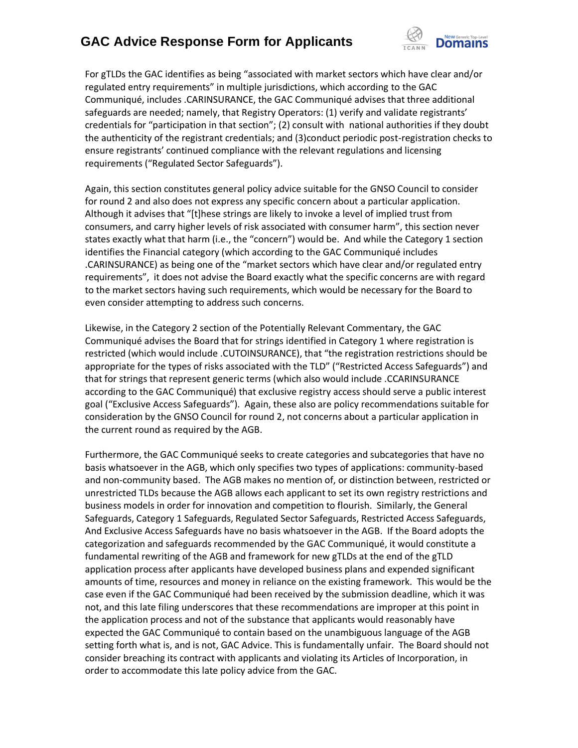

For gTLDs the GAC identifies as being "associated with market sectors which have clear and/or regulated entry requirements" in multiple jurisdictions, which according to the GAC Communiqué, includes .CARINSURANCE, the GAC Communiqué advises that three additional safeguards are needed; namely, that Registry Operators: (1) verify and validate registrants' credentials for "participation in that section"; (2) consult with national authorities if they doubt the authenticity of the registrant credentials; and (3)conduct periodic post-registration checks to ensure registrants' continued compliance with the relevant regulations and licensing requirements ("Regulated Sector Safeguards").

Again, this section constitutes general policy advice suitable for the GNSO Council to consider for round 2 and also does not express any specific concern about a particular application. Although it advises that "[t]hese strings are likely to invoke a level of implied trust from consumers, and carry higher levels of risk associated with consumer harm", this section never states exactly what that harm (i.e., the "concern") would be. And while the Category 1 section identifies the Financial category (which according to the GAC Communiqué includes .CARINSURANCE) as being one of the "market sectors which have clear and/or regulated entry requirements", it does not advise the Board exactly what the specific concerns are with regard to the market sectors having such requirements, which would be necessary for the Board to even consider attempting to address such concerns.

Likewise, in the Category 2 section of the Potentially Relevant Commentary, the GAC Communiqué advises the Board that for strings identified in Category 1 where registration is restricted (which would include .CUTOINSURANCE), that "the registration restrictions should be appropriate for the types of risks associated with the TLD" ("Restricted Access Safeguards") and that for strings that represent generic terms (which also would include .CCARINSURANCE according to the GAC Communiqué) that exclusive registry access should serve a public interest goal ("Exclusive Access Safeguards"). Again, these also are policy recommendations suitable for consideration by the GNSO Council for round 2, not concerns about a particular application in the current round as required by the AGB.

Furthermore, the GAC Communiqué seeks to create categories and subcategories that have no basis whatsoever in the AGB, which only specifies two types of applications: community-based and non-community based. The AGB makes no mention of, or distinction between, restricted or unrestricted TLDs because the AGB allows each applicant to set its own registry restrictions and business models in order for innovation and competition to flourish. Similarly, the General Safeguards, Category 1 Safeguards, Regulated Sector Safeguards, Restricted Access Safeguards, And Exclusive Access Safeguards have no basis whatsoever in the AGB. If the Board adopts the categorization and safeguards recommended by the GAC Communiqué, it would constitute a fundamental rewriting of the AGB and framework for new gTLDs at the end of the gTLD application process after applicants have developed business plans and expended significant amounts of time, resources and money in reliance on the existing framework. This would be the case even if the GAC Communiqué had been received by the submission deadline, which it was not, and this late filing underscores that these recommendations are improper at this point in the application process and not of the substance that applicants would reasonably have expected the GAC Communiqué to contain based on the unambiguous language of the AGB setting forth what is, and is not, GAC Advice. This is fundamentally unfair. The Board should not consider breaching its contract with applicants and violating its Articles of Incorporation, in order to accommodate this late policy advice from the GAC.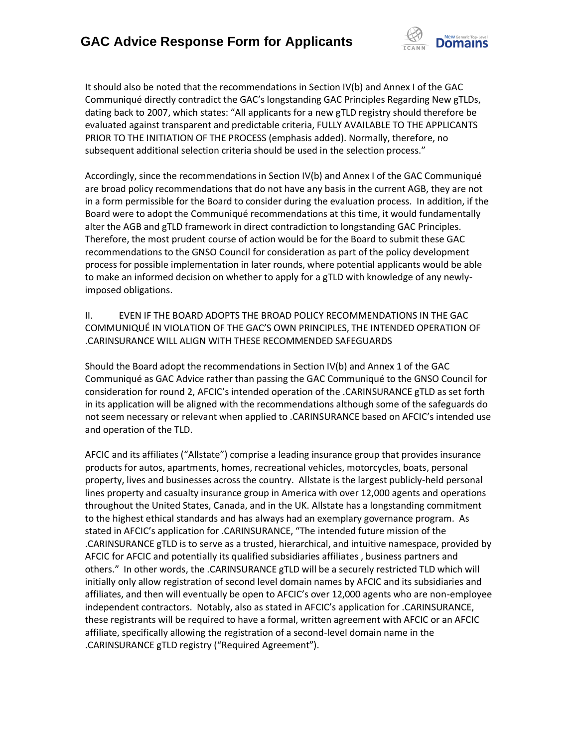

It should also be noted that the recommendations in Section IV(b) and Annex I of the GAC Communiqué directly contradict the GAC's longstanding GAC Principles Regarding New gTLDs, dating back to 2007, which states: "All applicants for a new gTLD registry should therefore be evaluated against transparent and predictable criteria, FULLY AVAILABLE TO THE APPLICANTS PRIOR TO THE INITIATION OF THE PROCESS (emphasis added). Normally, therefore, no subsequent additional selection criteria should be used in the selection process."

Accordingly, since the recommendations in Section IV(b) and Annex I of the GAC Communiqué are broad policy recommendations that do not have any basis in the current AGB, they are not in a form permissible for the Board to consider during the evaluation process. In addition, if the Board were to adopt the Communiqué recommendations at this time, it would fundamentally alter the AGB and gTLD framework in direct contradiction to longstanding GAC Principles. Therefore, the most prudent course of action would be for the Board to submit these GAC recommendations to the GNSO Council for consideration as part of the policy development process for possible implementation in later rounds, where potential applicants would be able to make an informed decision on whether to apply for a gTLD with knowledge of any newlyimposed obligations.

II. EVEN IF THE BOARD ADOPTS THE BROAD POLICY RECOMMENDATIONS IN THE GAC COMMUNIQUÉ IN VIOLATION OF THE GAC'S OWN PRINCIPLES, THE INTENDED OPERATION OF .CARINSURANCE WILL ALIGN WITH THESE RECOMMENDED SAFEGUARDS

Should the Board adopt the recommendations in Section IV(b) and Annex 1 of the GAC Communiqué as GAC Advice rather than passing the GAC Communiqué to the GNSO Council for consideration for round 2, AFCIC's intended operation of the .CARINSURANCE gTLD as set forth in its application will be aligned with the recommendations although some of the safeguards do not seem necessary or relevant when applied to .CARINSURANCE based on AFCIC's intended use and operation of the TLD.

AFCIC and its affiliates ("Allstate") comprise a leading insurance group that provides insurance products for autos, apartments, homes, recreational vehicles, motorcycles, boats, personal property, lives and businesses across the country. Allstate is the largest publicly-held personal lines property and casualty insurance group in America with over 12,000 agents and operations throughout the United States, Canada, and in the UK. Allstate has a longstanding commitment to the highest ethical standards and has always had an exemplary governance program. As stated in AFCIC's application for .CARINSURANCE, "The intended future mission of the .CARINSURANCE gTLD is to serve as a trusted, hierarchical, and intuitive namespace, provided by AFCIC for AFCIC and potentially its qualified subsidiaries affiliates , business partners and others." In other words, the .CARINSURANCE gTLD will be a securely restricted TLD which will initially only allow registration of second level domain names by AFCIC and its subsidiaries and affiliates, and then will eventually be open to AFCIC's over 12,000 agents who are non-employee independent contractors. Notably, also as stated in AFCIC's application for .CARINSURANCE, these registrants will be required to have a formal, written agreement with AFCIC or an AFCIC affiliate, specifically allowing the registration of a second-level domain name in the .CARINSURANCE gTLD registry ("Required Agreement").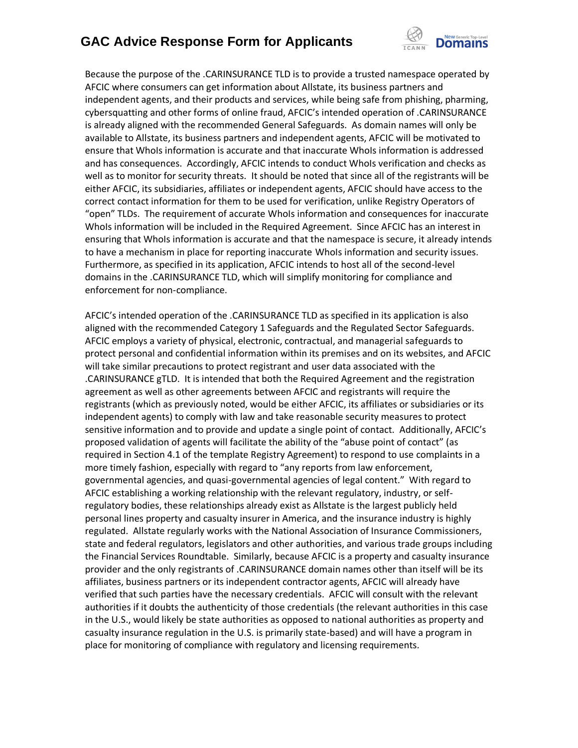

Because the purpose of the .CARINSURANCE TLD is to provide a trusted namespace operated by AFCIC where consumers can get information about Allstate, its business partners and independent agents, and their products and services, while being safe from phishing, pharming, cybersquatting and other forms of online fraud, AFCIC's intended operation of .CARINSURANCE is already aligned with the recommended General Safeguards. As domain names will only be available to Allstate, its business partners and independent agents, AFCIC will be motivated to ensure that WhoIs information is accurate and that inaccurate WhoIs information is addressed and has consequences. Accordingly, AFCIC intends to conduct WhoIs verification and checks as well as to monitor for security threats. It should be noted that since all of the registrants will be either AFCIC, its subsidiaries, affiliates or independent agents, AFCIC should have access to the correct contact information for them to be used for verification, unlike Registry Operators of "open" TLDs. The requirement of accurate WhoIs information and consequences for inaccurate WhoIs information will be included in the Required Agreement. Since AFCIC has an interest in ensuring that WhoIs information is accurate and that the namespace is secure, it already intends to have a mechanism in place for reporting inaccurate WhoIs information and security issues. Furthermore, as specified in its application, AFCIC intends to host all of the second-level domains in the .CARINSURANCE TLD, which will simplify monitoring for compliance and enforcement for non-compliance.

AFCIC's intended operation of the .CARINSURANCE TLD as specified in its application is also aligned with the recommended Category 1 Safeguards and the Regulated Sector Safeguards. AFCIC employs a variety of physical, electronic, contractual, and managerial safeguards to protect personal and confidential information within its premises and on its websites, and AFCIC will take similar precautions to protect registrant and user data associated with the .CARINSURANCE gTLD. It is intended that both the Required Agreement and the registration agreement as well as other agreements between AFCIC and registrants will require the registrants (which as previously noted, would be either AFCIC, its affiliates or subsidiaries or its independent agents) to comply with law and take reasonable security measures to protect sensitive information and to provide and update a single point of contact. Additionally, AFCIC's proposed validation of agents will facilitate the ability of the "abuse point of contact" (as required in Section 4.1 of the template Registry Agreement) to respond to use complaints in a more timely fashion, especially with regard to "any reports from law enforcement, governmental agencies, and quasi-governmental agencies of legal content." With regard to AFCIC establishing a working relationship with the relevant regulatory, industry, or selfregulatory bodies, these relationships already exist as Allstate is the largest publicly held personal lines property and casualty insurer in America, and the insurance industry is highly regulated. Allstate regularly works with the National Association of Insurance Commissioners, state and federal regulators, legislators and other authorities, and various trade groups including the Financial Services Roundtable. Similarly, because AFCIC is a property and casualty insurance provider and the only registrants of .CARINSURANCE domain names other than itself will be its affiliates, business partners or its independent contractor agents, AFCIC will already have verified that such parties have the necessary credentials. AFCIC will consult with the relevant authorities if it doubts the authenticity of those credentials (the relevant authorities in this case in the U.S., would likely be state authorities as opposed to national authorities as property and casualty insurance regulation in the U.S. is primarily state-based) and will have a program in place for monitoring of compliance with regulatory and licensing requirements.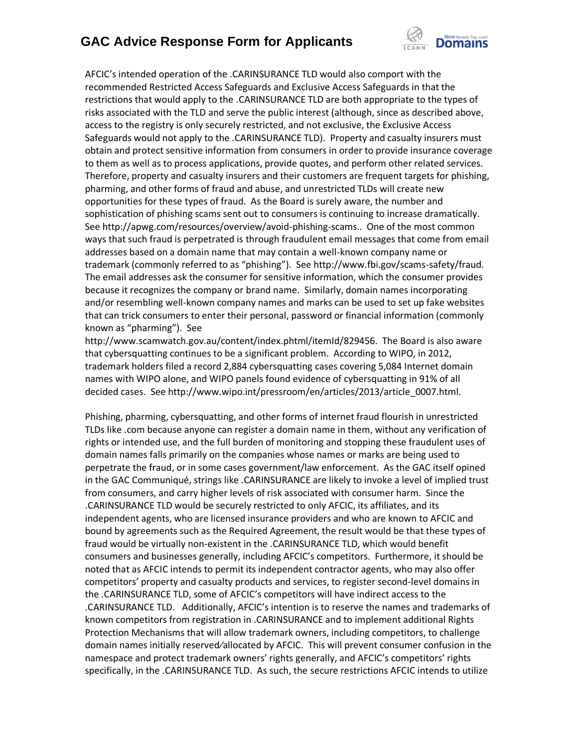

AFCIC's intended operation of the .CARINSURANCE TLD would also comport with the recommended Restricted Access Safeguards and Exclusive Access Safeguards in that the restrictions that would apply to the .CARINSURANCE TLD are both appropriate to the types of risks associated with the TLD and serve the public interest (although, since as described above, access to the registry is only securely restricted, and not exclusive, the Exclusive Access Safeguards would not apply to the .CARINSURANCE TLD). Property and casualty insurers must obtain and protect sensitive information from consumers in order to provide insurance coverage to them as well as to process applications, provide quotes, and perform other related services. Therefore, property and casualty insurers and their customers are frequent targets for phishing, pharming, and other forms of fraud and abuse, and unrestricted TLDs will create new opportunities for these types of fraud. As the Board is surely aware, the number and sophistication of phishing scams sent out to consumers is continuing to increase dramatically. See http://apwg.com/resources/overview/avoid-phishing-scams.. One of the most common ways that such fraud is perpetrated is through fraudulent email messages that come from email addresses based on a domain name that may contain a well-known company name or trademark (commonly referred to as "phishing"). See http://www.fbi.gov/scams-safety/fraud. The email addresses ask the consumer for sensitive information, which the consumer provides because it recognizes the company or brand name. Similarly, domain names incorporating and/or resembling well-known company names and marks can be used to set up fake websites that can trick consumers to enter their personal, password or financial information (commonly known as "pharming"). See

http://www.scamwatch.gov.au/content/index.phtml/itemId/829456. The Board is also aware that cybersquatting continues to be a significant problem. According to WIPO, in 2012, trademark holders filed a record 2,884 cybersquatting cases covering 5,084 Internet domain names with WIPO alone, and WIPO panels found evidence of cybersquatting in 91% of all decided cases. See http://www.wipo.int/pressroom/en/articles/2013/article\_0007.html.

Phishing, pharming, cybersquatting, and other forms of internet fraud flourish in unrestricted TLDs like .com because anyone can register a domain name in them, without any verification of rights or intended use, and the full burden of monitoring and stopping these fraudulent uses of domain names falls primarily on the companies whose names or marks are being used to perpetrate the fraud, or in some cases government/law enforcement. As the GAC itself opined in the GAC Communiqué, strings like .CARINSURANCE are likely to invoke a level of implied trust from consumers, and carry higher levels of risk associated with consumer harm. Since the .CARINSURANCE TLD would be securely restricted to only AFCIC, its affiliates, and its independent agents, who are licensed insurance providers and who are known to AFCIC and bound by agreements such as the Required Agreement, the result would be that these types of fraud would be virtually non-existent in the .CARINSURANCE TLD, which would benefit consumers and businesses generally, including AFCIC's competitors. Furthermore, it should be noted that as AFCIC intends to permit its independent contractor agents, who may also offer competitors' property and casualty products and services, to register second-level domains in the .CARINSURANCE TLD, some of AFCIC's competitors will have indirect access to the .CARINSURANCE TLD. Additionally, AFCIC's intention is to reserve the names and trademarks of known competitors from registration in .CARINSURANCE and to implement additional Rights Protection Mechanisms that will allow trademark owners, including competitors, to challenge domain names initially reserved⁄allocated by AFCIC. This will prevent consumer confusion in the namespace and protect trademark owners' rights generally, and AFCIC's competitors' rights specifically, in the .CARINSURANCE TLD. As such, the secure restrictions AFCIC intends to utilize